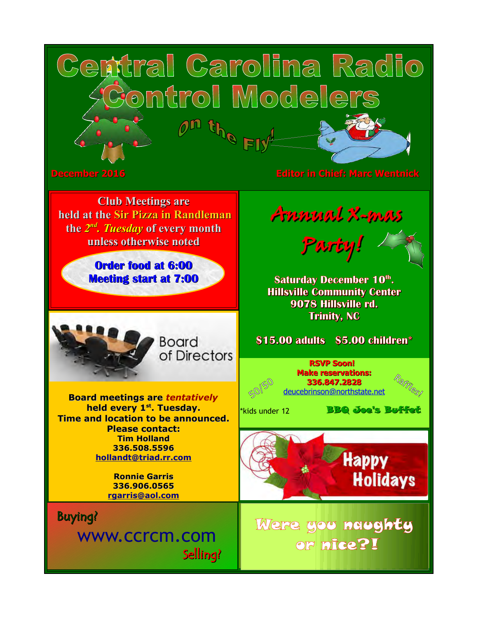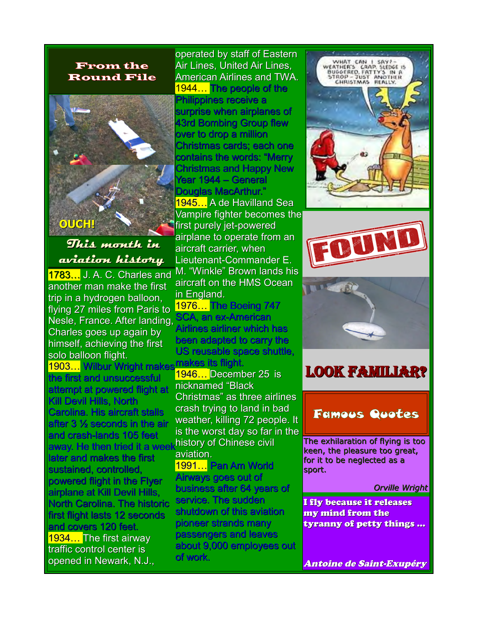#### From the Round File



**This month in aviation history**

**1783...** J. A. C. Charles and another man make the first trip in a hydrogen balloon, flying 27 miles from Paris to Nesle, France. After landing, Charles goes up again by himself, achieving the first solo balloon flight. 1903... Wilbur Wright mak the first and unsuccessful attempt at powered flight at Kill Devil Hills, North Carolina. His aircraft stalls after 3 ½ seconds in the air and crash-lands 105 feet away. He then tried it a week<sup>history</sup> of Chinese civil later and makes the first sustained, controlled, powered flight in the Flyer airplane at Kill Devil Hills, North Carolina. The historic first flight lasts 12 seconds and covers 120 feet. 1934… The first airway traffic control center is opened in Newark, N.J.,

operated by staff of Eastern Air Lines, United Air Lines, American Airlines and TWA. 1944. The people of the Philippines receive a surprise when airplanes of 43rd Bombing Group flew over to drop a million Christmas cards; each one contains the words: "Merry Christmas and Happy New Year 1944 – General Douglas MacArthur." <mark>1945…</mark> A de Havilland Sea Vampire fighter becomes the first purely jet-powered airplane to operate from an aircraft carrier, when Lieutenant-Commander E. M. "Winkle" Brown lands his aircraft on the HMS Ocean in England.

1976… The Boeing 747 SCA, an ex-American Airlines airliner which has been adapted to carry the US reusable space shuttle, makes its flight.

1946... December 25 is nicknamed "Black Christmas" as three airlines crash trying to land in bad weather, killing 72 people. It is the worst day so far in the aviation.

1991… Pan Am World Airways goes out of business after 64 years of service. The sudden shutdown of this aviation pioneer strands many passengers and leaves about 9,000 employees out of work.







## Look familiar?

## Famous Quotes

The exhilaration of flying is too keen, the pleasure too great, for it to be neglected as a sport.

#### *Orville Wright*

I fly because it releases my mind from the tyranny of petty things …

Antoine de Saint-Exupéry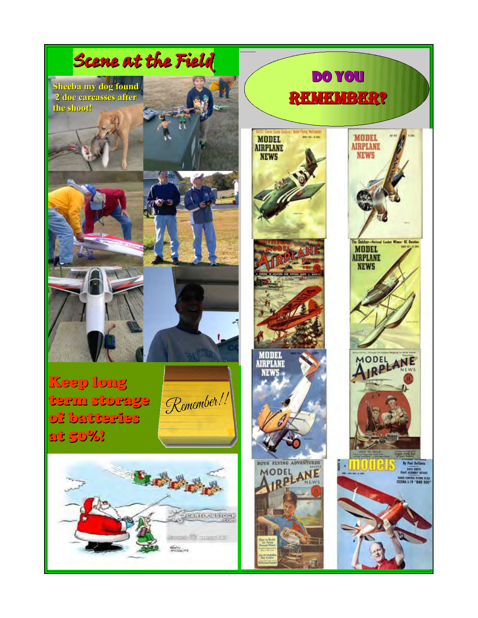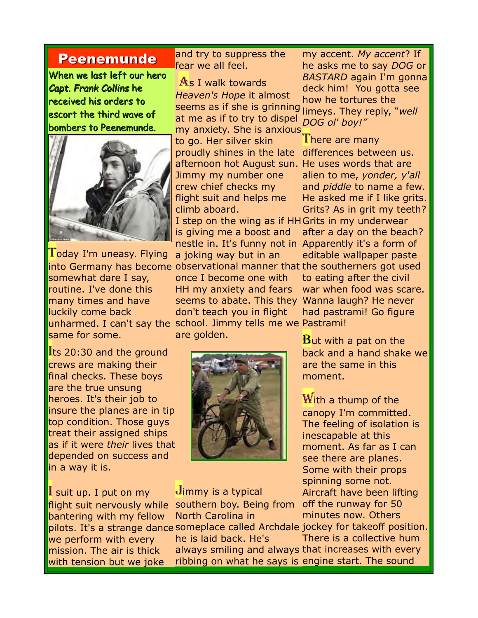#### Peenemunde

When we last left our hero *Capt. Frank Collins* he received his orders to escort the third wave of bombers to Peenemunde.



 $\Gamma$ oday I'm uneasy. Flying somewhat dare I say, routine. I've done this many times and have luckily come back same for some.

**Its 20:30 and the ground** crews are making their final checks. These boys are the true unsung heroes. It's their job to insure the planes are in tip top condition. Those guys treat their assigned ships as if it were *their* lives that depended on success and in a way it is.

I suit up. I put on my flight suit nervously while bantering with my fellow pilots. It's a strange dance someplace called Archdale jockey for takeoff position. we perform with every mission. The air is thick with tension but we joke

and try to suppress the fear we all feel.

As I walk towards *Heaven's Hope* it almost seems as if she is grinning limeys. They reply, "*well*  at me as if to try to dispel my anxiety. She is anxious

to go. Her silver skin proudly shines in the late differences between us. afternoon hot August sun. He uses words that are Jimmy my number one crew chief checks my flight suit and helps me climb aboard.

is giving me a boost and nestle in. It's funny not in Apparently it's a form of

into Germany has become observational manner that the southerners got used unharmed. I can't say the school. Jimmy tells me we Pastrami! a joking way but in an once I become one with HH my anxiety and fears seems to abate. This they Wanna laugh? He never don't teach you in flight are golden.



 $J$ immy is a typical southern boy. Being from off the runway for 50 North Carolina in

he is laid back. He's

my accent. *My accent*? If he asks me to say *DOG* or *BASTARD* again I'm gonna deck him! You gotta see how he tortures the *DOG ol' boy!"*

I step on the wing as if HH Grits in my underwear There are many alien to me, *yonder, y'all* and *piddle* to name a few. He asked me if I like grits. Grits? As in grit my teeth? after a day on the beach? editable wallpaper paste

to eating after the civil war when food was scare. had pastrami! Go figure

 $B$ ut with a pat on the back and a hand shake we are the same in this moment.

With a thump of the canopy I'm committed. The feeling of isolation is inescapable at this moment. As far as I can see there are planes. Some with their props spinning some not. Aircraft have been lifting minutes now. Others

always smiling and always that increases with every ribbing on what he says is engine start. The sound There is a collective hum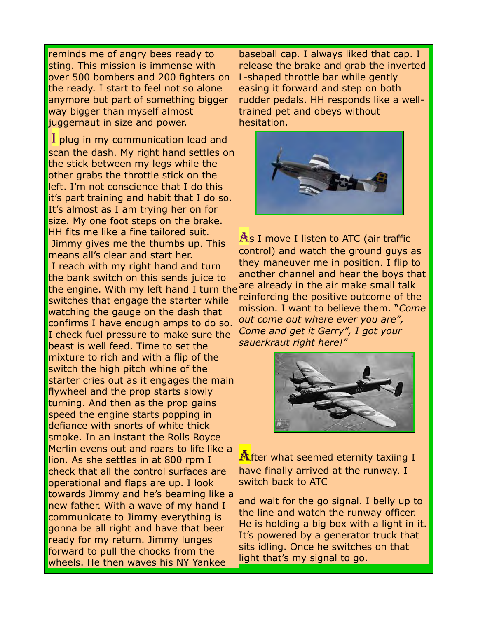reminds me of angry bees ready to sting. This mission is immense with over 500 bombers and 200 fighters on the ready. I start to feel not so alone anymore but part of something bigger way bigger than myself almost juggernaut in size and power.

I plug in my communication lead and scan the dash. My right hand settles on the stick between my legs while the other grabs the throttle stick on the left. I'm not conscience that I do this it's part training and habit that I do so. It's almost as I am trying her on for size. My one foot steps on the brake. HH fits me like a fine tailored suit. Jimmy gives me the thumbs up. This means all's clear and start her. I reach with my right hand and turn the bank switch on this sends juice to the engine. With my left hand I turn the <sup>are</sup> already in the air make small talk switches that engage the starter while watching the gauge on the dash that confirms I have enough amps to do so. I check fuel pressure to make sure the beast is well feed. Time to set the mixture to rich and with a flip of the switch the high pitch whine of the starter cries out as it engages the main flywheel and the prop starts slowly turning. And then as the prop gains speed the engine starts popping in defiance with snorts of white thick smoke. In an instant the Rolls Royce Merlin evens out and roars to life like a lion. As she settles in at 800 rpm I check that all the control surfaces are operational and flaps are up. I look towards Jimmy and he's beaming like a new father. With a wave of my hand I communicate to Jimmy everything is gonna be all right and have that beer ready for my return. Jimmy lunges forward to pull the chocks from the wheels. He then waves his NY Yankee

baseball cap. I always liked that cap. I release the brake and grab the inverted L-shaped throttle bar while gently easing it forward and step on both rudder pedals. HH responds like a welltrained pet and obeys without hesitation.



As I move I listen to ATC (air traffic control) and watch the ground guys as they maneuver me in position. I flip to another channel and hear the boys that reinforcing the positive outcome of the mission. I want to believe them. "*Come out come out where ever you are", Come and get it Gerry", I got your sauerkraut right here!"*



 $\mathbf{\mathcal{M}}$ fter what seemed eternity taxiing I have finally arrived at the runway. I switch back to ATC

and wait for the go signal. I belly up to the line and watch the runway officer. He is holding a big box with a light in it. It's powered by a generator truck that sits idling. Once he switches on that light that's my signal to go.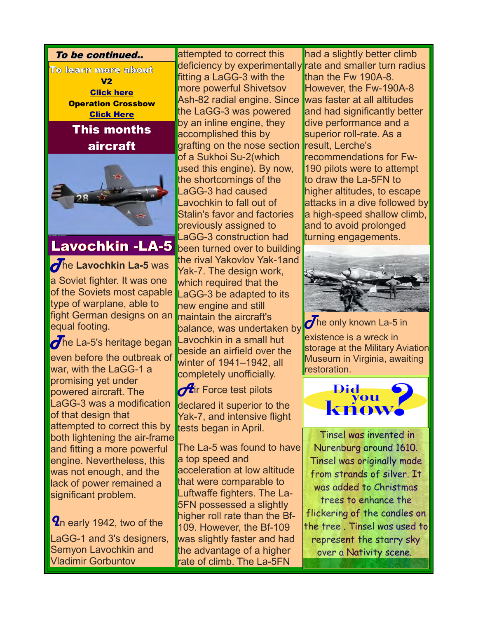

# Lavochkin -LA-5

The Lavochkin La-5 was

a Soviet fighter. It was one of the Soviets most capable type of warplane, able to fight German designs on an equal footing.

 $\sigma$ he La-5's heritage began even before the outbreak of war, with the LaGG-1 a promising yet under powered aircraft. The LaGG-3 was a modification of that design that attempted to correct this by both lightening the air-frame and fitting a more powerful engine. Nevertheless, this was not enough, and the lack of power remained a significant problem.

**Y**n early 1942, two of the LaGG-1 and 3's designers, Semyon Lavochkin and Vladimir Gorbuntov

attempted to correct this deficiency by experimentally fitting a LaGG-3 with the more powerful Shivetsov Ash-82 radial engine. Since the LaGG-3 was powered by an inline engine, they accomplished this by grafting on the nose section of a Sukhoi Su-2(which used this engine). By now, the shortcomings of the LaGG-3 had caused Lavochkin to fall out of Stalin's favor and factories previously assigned to LaGG-3 construction had been turned over to building the rival Yakovlov Yak-1and Yak-7. The design work, which required that the LaGG-3 be adapted to its new engine and still maintain the aircraft's balance, was undertaken by Lavochkin in a small hut beside an airfield over the winter of 1941–1942, all completely unofficially.

 $\sigma$ ir Force test pilots declared it superior to the Yak-7, and intensive flight tests began in April.

The La-5 was found to have a top speed and acceleration at low altitude that were comparable to Luftwaffe fighters. The La-5FN possessed a slightly higher roll rate than the Bf-109. However, the Bf-109 was slightly faster and had the advantage of a higher rate of climb. The La-5FN

had a slightly better climb rate and smaller turn radius than the Fw 190A-8. However, the Fw-190A-8 was faster at all altitudes and had significantly better dive performance and a superior roll-rate. As a result, Lerche's recommendations for Fw-190 pilots were to attempt to draw the La-5FN to higher altitudes, to escape attacks in a dive followed by a high-speed shallow climb, and to avoid prolonged turning engagements.



 $\overline{\mathcal{O}}$ he only known La-5 in existence is a wreck in storage at the Military Aviation Museum in Virginia, awaiting restoration.



Tinsel was invented in Nurenburg around 1610. Tinsel was originally made from strands of silver. It was added to Christmas trees to enhance the flickering of the candles on the tree . Tinsel was used to represent the starry sky over a Nativity scene.